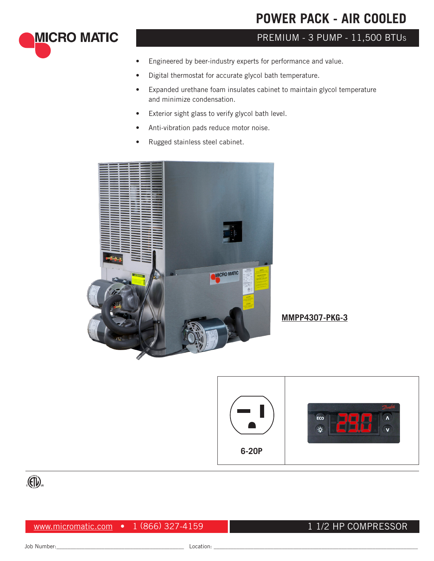# **POWER PACK - AIR COOLED**

# PREMIUM - 3 PUMP - 11,500 BTU<sup>s</sup>

- Engineered by beer-industry experts for performance and value.
- Digital thermostat for accurate glycol bath temperature.
- Expanded urethane foam insulates cabinet to maintain glycol temperature and minimize condensation.
- Exterior sight glass to verify glycol bath level.
- Anti-vibration pads reduce motor noise.
- Rugged stainless steel cabinet.



**MMPP4307-PKG-3**





**MICRO MATIC** 

www.micromatic.com • 1 (866) 327-4159

### 1 1/2 HP COMPRESSOR